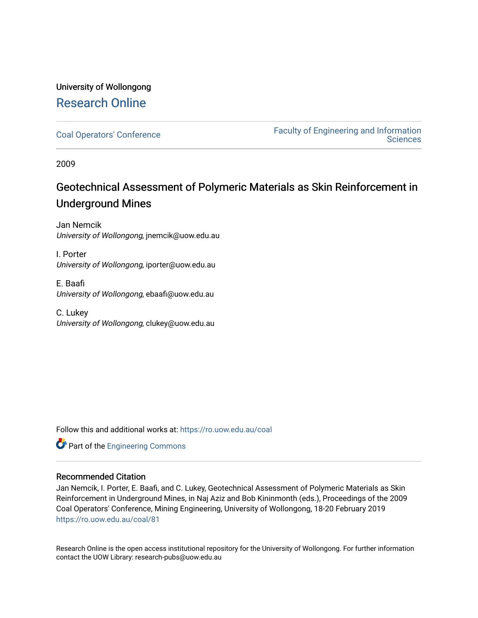# University of Wollongong [Research Online](https://ro.uow.edu.au/)

[Coal Operators' Conference](https://ro.uow.edu.au/coal) [Faculty of Engineering and Information](https://ro.uow.edu.au/eis)  **Sciences** 

2009

# Geotechnical Assessment of Polymeric Materials as Skin Reinforcement in Underground Mines

Jan Nemcik University of Wollongong, jnemcik@uow.edu.au

I. Porter University of Wollongong, iporter@uow.edu.au

E. Baafi University of Wollongong, ebaafi@uow.edu.au

C. Lukey University of Wollongong, clukey@uow.edu.au

Follow this and additional works at: [https://ro.uow.edu.au/coal](https://ro.uow.edu.au/coal?utm_source=ro.uow.edu.au%2Fcoal%2F81&utm_medium=PDF&utm_campaign=PDFCoverPages) 



## Recommended Citation

Jan Nemcik, I. Porter, E. Baafi, and C. Lukey, Geotechnical Assessment of Polymeric Materials as Skin Reinforcement in Underground Mines, in Naj Aziz and Bob Kininmonth (eds.), Proceedings of the 2009 Coal Operators' Conference, Mining Engineering, University of Wollongong, 18-20 February 2019 [https://ro.uow.edu.au/coal/81](https://ro.uow.edu.au/coal/81?utm_source=ro.uow.edu.au%2Fcoal%2F81&utm_medium=PDF&utm_campaign=PDFCoverPages) 

Research Online is the open access institutional repository for the University of Wollongong. For further information contact the UOW Library: research-pubs@uow.edu.au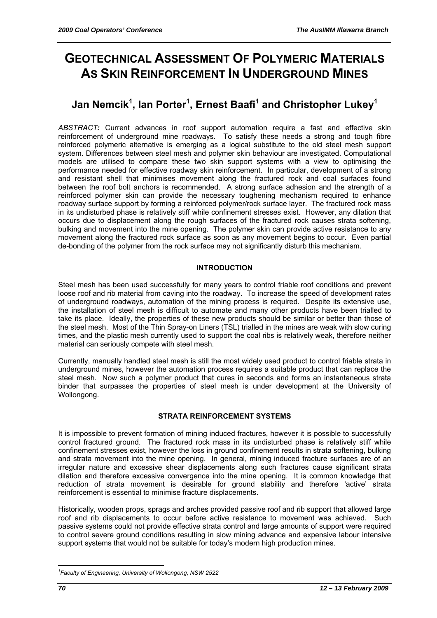# **GEOTECHNICAL ASSESSMENT OF POLYMERIC MATERIALS AS SKIN REINFORCEMENT IN UNDERGROUND MINES**

# **Jan Nemcik1 , Ian Porter<sup>1</sup> , Ernest Baafi1 and Christopher Lukey1**

*ABSTRACT:* Current advances in roof support automation require a fast and effective skin reinforcement of underground mine roadways. To satisfy these needs a strong and tough fibre reinforced polymeric alternative is emerging as a logical substitute to the old steel mesh support system. Differences between steel mesh and polymer skin behaviour are investigated. Computational models are utilised to compare these two skin support systems with a view to optimising the performance needed for effective roadway skin reinforcement. In particular, development of a strong and resistant shell that minimises movement along the fractured rock and coal surfaces found between the roof bolt anchors is recommended. A strong surface adhesion and the strength of a reinforced polymer skin can provide the necessary toughening mechanism required to enhance roadway surface support by forming a reinforced polymer/rock surface layer. The fractured rock mass in its undisturbed phase is relatively stiff while confinement stresses exist. However, any dilation that occurs due to displacement along the rough surfaces of the fractured rock causes strata softening, bulking and movement into the mine opening. The polymer skin can provide active resistance to any movement along the fractured rock surface as soon as any movement begins to occur. Even partial de-bonding of the polymer from the rock surface may not significantly disturb this mechanism.

## **INTRODUCTION**

Steel mesh has been used successfully for many years to control friable roof conditions and prevent loose roof and rib material from caving into the roadway. To increase the speed of development rates of underground roadways, automation of the mining process is required. Despite its extensive use, the installation of steel mesh is difficult to automate and many other products have been trialled to take its place. Ideally, the properties of these new products should be similar or better than those of the steel mesh. Most of the Thin Spray-on Liners (TSL) trialled in the mines are weak with slow curing times, and the plastic mesh currently used to support the coal ribs is relatively weak, therefore neither material can seriously compete with steel mesh.

Currently, manually handled steel mesh is still the most widely used product to control friable strata in underground mines, however the automation process requires a suitable product that can replace the steel mesh. Now such a polymer product that cures in seconds and forms an instantaneous strata binder that surpasses the properties of steel mesh is under development at the University of Wollongong.

## **STRATA REINFORCEMENT SYSTEMS**

It is impossible to prevent formation of mining induced fractures, however it is possible to successfully control fractured ground. The fractured rock mass in its undisturbed phase is relatively stiff while confinement stresses exist, however the loss in ground confinement results in strata softening, bulking and strata movement into the mine opening. In general, mining induced fracture surfaces are of an irregular nature and excessive shear displacements along such fractures cause significant strata dilation and therefore excessive convergence into the mine opening. It is common knowledge that reduction of strata movement is desirable for ground stability and therefore 'active' strata reinforcement is essential to minimise fracture displacements.

Historically, wooden props, sprags and arches provided passive roof and rib support that allowed large roof and rib displacements to occur before active resistance to movement was achieved. Such passive systems could not provide effective strata control and large amounts of support were required to control severe ground conditions resulting in slow mining advance and expensive labour intensive support systems that would not be suitable for today's modern high production mines.

 $\overline{a}$ *1 Faculty of Engineering, University of Wollongong, NSW 2522*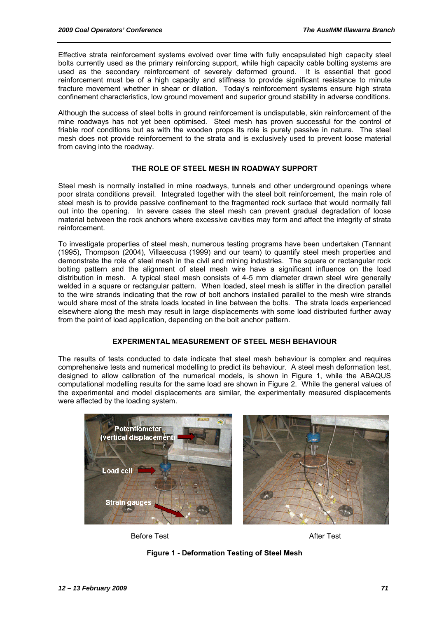Effective strata reinforcement systems evolved over time with fully encapsulated high capacity steel bolts currently used as the primary reinforcing support, while high capacity cable bolting systems are used as the secondary reinforcement of severely deformed ground. It is essential that good reinforcement must be of a high capacity and stiffness to provide significant resistance to minute fracture movement whether in shear or dilation. Today's reinforcement systems ensure high strata confinement characteristics, low ground movement and superior ground stability in adverse conditions.

Although the success of steel bolts in ground reinforcement is undisputable, skin reinforcement of the mine roadways has not yet been optimised. Steel mesh has proven successful for the control of friable roof conditions but as with the wooden props its role is purely passive in nature. The steel mesh does not provide reinforcement to the strata and is exclusively used to prevent loose material from caving into the roadway.

#### **THE ROLE OF STEEL MESH IN ROADWAY SUPPORT**

Steel mesh is normally installed in mine roadways, tunnels and other underground openings where poor strata conditions prevail. Integrated together with the steel bolt reinforcement, the main role of steel mesh is to provide passive confinement to the fragmented rock surface that would normally fall out into the opening. In severe cases the steel mesh can prevent gradual degradation of loose material between the rock anchors where excessive cavities may form and affect the integrity of strata reinforcement.

To investigate properties of steel mesh, numerous testing programs have been undertaken (Tannant (1995), Thompson (2004), Villaescusa (1999) and our team) to quantify steel mesh properties and demonstrate the role of steel mesh in the civil and mining industries. The square or rectangular rock bolting pattern and the alignment of steel mesh wire have a significant influence on the load distribution in mesh. A typical steel mesh consists of 4-5 mm diameter drawn steel wire generally welded in a square or rectangular pattern. When loaded, steel mesh is stiffer in the direction parallel to the wire strands indicating that the row of bolt anchors installed parallel to the mesh wire strands would share most of the strata loads located in line between the bolts. The strata loads experienced elsewhere along the mesh may result in large displacements with some load distributed further away from the point of load application, depending on the bolt anchor pattern.

#### **EXPERIMENTAL MEASUREMENT OF STEEL MESH BEHAVIOUR**

The results of tests conducted to date indicate that steel mesh behaviour is complex and requires comprehensive tests and numerical modelling to predict its behaviour. A steel mesh deformation test, designed to allow calibration of the numerical models, is shown in Figure 1, while the ABAQUS computational modelling results for the same load are shown in Figure 2. While the general values of the experimental and model displacements are similar, the experimentally measured displacements were affected by the loading system.



Before Test **After Test** 

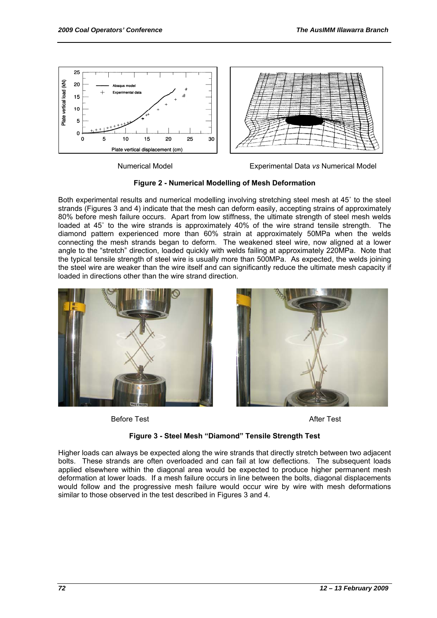

Numerical Model Experimental Data *vs* Numerical Model

**Figure 2 - Numerical Modelling of Mesh Deformation** 

Both experimental results and numerical modelling involving stretching steel mesh at 45˚ to the steel strands (Figures 3 and 4) indicate that the mesh can deform easily, accepting strains of approximately 80% before mesh failure occurs. Apart from low stiffness, the ultimate strength of steel mesh welds loaded at 45˚ to the wire strands is approximately 40% of the wire strand tensile strength. The diamond pattern experienced more than 60% strain at approximately 50MPa when the welds connecting the mesh strands began to deform. The weakened steel wire, now aligned at a lower angle to the "stretch" direction, loaded quickly with welds failing at approximately 220MPa. Note that the typical tensile strength of steel wire is usually more than 500MPa. As expected, the welds joining the steel wire are weaker than the wire itself and can significantly reduce the ultimate mesh capacity if loaded in directions other than the wire strand direction.



Before Test **After Test** 



#### **Figure 3 - Steel Mesh "Diamond" Tensile Strength Test**

Higher loads can always be expected along the wire strands that directly stretch between two adjacent bolts. These strands are often overloaded and can fail at low deflections. The subsequent loads applied elsewhere within the diagonal area would be expected to produce higher permanent mesh deformation at lower loads. If a mesh failure occurs in line between the bolts, diagonal displacements would follow and the progressive mesh failure would occur wire by wire with mesh deformations similar to those observed in the test described in Figures 3 and 4.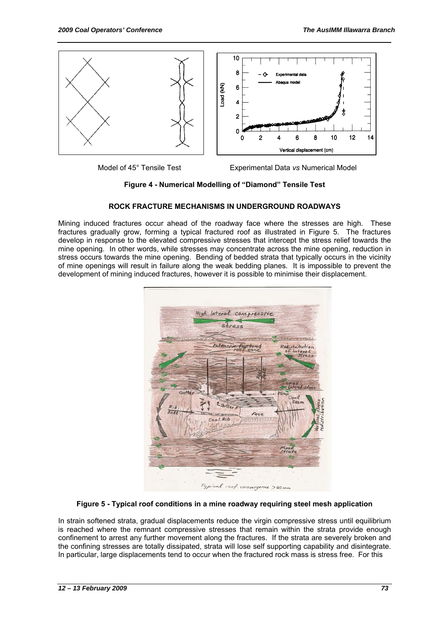

Model of 45° Tensile Test Experimental Data *vs* Numerical Model

**Figure 4 - Numerical Modelling of "Diamond" Tensile Test**

#### **ROCK FRACTURE MECHANISMS IN UNDERGROUND ROADWAYS**

Mining induced fractures occur ahead of the roadway face where the stresses are high. These fractures gradually grow, forming a typical fractured roof as illustrated in Figure 5. The fractures develop in response to the elevated compressive stresses that intercept the stress relief towards the mine opening. In other words, while stresses may concentrate across the mine opening, reduction in stress occurs towards the mine opening. Bending of bedded strata that typically occurs in the vicinity of mine openings will result in failure along the weak bedding planes. It is impossible to prevent the development of mining induced fractures, however it is possible to minimise their displacement.



#### **Figure 5 - Typical roof conditions in a mine roadway requiring steel mesh application**

In strain softened strata, gradual displacements reduce the virgin compressive stress until equilibrium is reached where the remnant compressive stresses that remain within the strata provide enough confinement to arrest any further movement along the fractures. If the strata are severely broken and the confining stresses are totally dissipated, strata will lose self supporting capability and disintegrate. In particular, large displacements tend to occur when the fractured rock mass is stress free. For this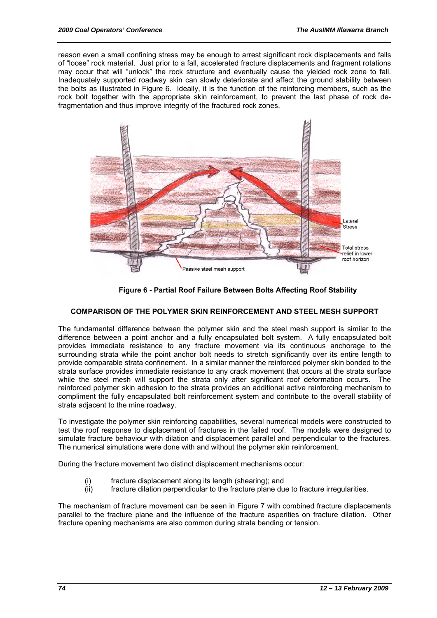reason even a small confining stress may be enough to arrest significant rock displacements and falls of "loose" rock material. Just prior to a fall, accelerated fracture displacements and fragment rotations may occur that will "unlock" the rock structure and eventually cause the yielded rock zone to fall. Inadequately supported roadway skin can slowly deteriorate and affect the ground stability between the bolts as illustrated in Figure 6. Ideally, it is the function of the reinforcing members, such as the rock bolt together with the appropriate skin reinforcement, to prevent the last phase of rock defragmentation and thus improve integrity of the fractured rock zones.



**Figure 6 - Partial Roof Failure Between Bolts Affecting Roof Stability** 

#### **COMPARISON OF THE POLYMER SKIN REINFORCEMENT AND STEEL MESH SUPPORT**

The fundamental difference between the polymer skin and the steel mesh support is similar to the difference between a point anchor and a fully encapsulated bolt system. A fully encapsulated bolt provides immediate resistance to any fracture movement via its continuous anchorage to the surrounding strata while the point anchor bolt needs to stretch significantly over its entire length to provide comparable strata confinement. In a similar manner the reinforced polymer skin bonded to the strata surface provides immediate resistance to any crack movement that occurs at the strata surface while the steel mesh will support the strata only after significant roof deformation occurs. The reinforced polymer skin adhesion to the strata provides an additional active reinforcing mechanism to compliment the fully encapsulated bolt reinforcement system and contribute to the overall stability of strata adjacent to the mine roadway.

To investigate the polymer skin reinforcing capabilities, several numerical models were constructed to test the roof response to displacement of fractures in the failed roof. The models were designed to simulate fracture behaviour with dilation and displacement parallel and perpendicular to the fractures. The numerical simulations were done with and without the polymer skin reinforcement.

During the fracture movement two distinct displacement mechanisms occur:

- (i) fracture displacement along its length (shearing); and<br>(ii) fracture dilation perpendicular to the fracture plane due
- fracture dilation perpendicular to the fracture plane due to fracture irregularities.

The mechanism of fracture movement can be seen in Figure 7 with combined fracture displacements parallel to the fracture plane and the influence of the fracture asperities on fracture dilation. Other fracture opening mechanisms are also common during strata bending or tension.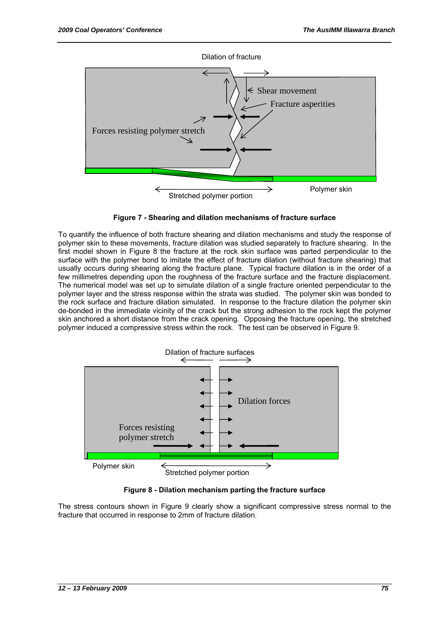





To quantify the influence of both fracture shearing and dilation mechanisms and study the response of polymer skin to these movements, fracture dilation was studied separately to fracture shearing. In the first model shown in Figure 8 the fracture at the rock skin surface was parted perpendicular to the surface with the polymer bond to imitate the effect of fracture dilation (without fracture shearing) that usually occurs during shearing along the fracture plane. Typical fracture dilation is in the order of a few millimetres depending upon the roughness of the fracture surface and the fracture displacement. The numerical model was set up to simulate dilation of a single fracture oriented perpendicular to the polymer layer and the stress response within the strata was studied. The polymer skin was bonded to the rock surface and fracture dilation simulated. In response to the fracture dilation the polymer skin de-bonded in the immediate vicinity of the crack but the strong adhesion to the rock kept the polymer skin anchored a short distance from the crack opening. Opposing the fracture opening, the stretched polymer induced a compressive stress within the rock. The test can be observed in Figure 9.



**Figure 8 - Dilation mechanism parting the fracture surface** 

The stress contours shown in Figure 9 clearly show a significant compressive stress normal to the fracture that occurred in response to 2mm of fracture dilation.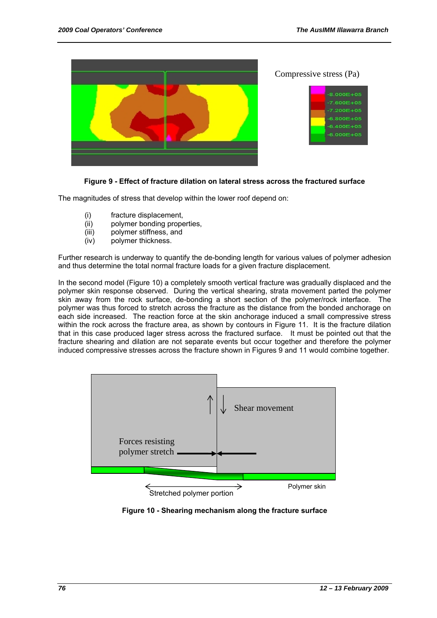

### **Figure 9 - Effect of fracture dilation on lateral stress across the fractured surface**

The magnitudes of stress that develop within the lower roof depend on:

- (i) fracture displacement,
- (ii) polymer bonding properties,
- (iii) polymer stiffness, and
- (iv) polymer thickness.

Further research is underway to quantify the de-bonding length for various values of polymer adhesion and thus determine the total normal fracture loads for a given fracture displacement.

In the second model (Figure 10) a completely smooth vertical fracture was gradually displaced and the polymer skin response observed. During the vertical shearing, strata movement parted the polymer skin away from the rock surface, de-bonding a short section of the polymer/rock interface. The polymer was thus forced to stretch across the fracture as the distance from the bonded anchorage on each side increased. The reaction force at the skin anchorage induced a small compressive stress within the rock across the fracture area, as shown by contours in Figure 11. It is the fracture dilation that in this case produced lager stress across the fractured surface. It must be pointed out that the fracture shearing and dilation are not separate events but occur together and therefore the polymer induced compressive stresses across the fracture shown in Figures 9 and 11 would combine together.



Stretched polymer portion

**Figure 10 - Shearing mechanism along the fracture surface**